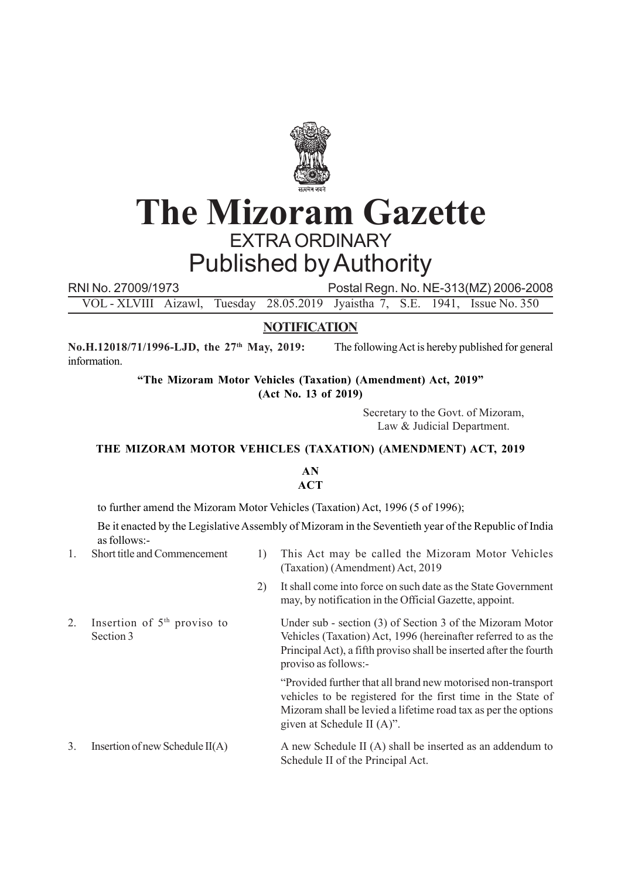

# **The Mizoram Gazette** EXTRA ORDINARY Published by Authority

RNI No. 27009/1973 Postal Regn. No. NE-313(MZ) 2006-2008

VOL - XLVIII Aizawl, Tuesday 28.05.2019 Jyaistha 7, S.E. 1941, Issue No. 350

## **NOTIFICATION**

**No.H.12018/71/1996-LJD, the 27th May, 2019:** The following Act is hereby published for general information.

> **"The Mizoram Motor Vehicles (Taxation) (Amendment) Act, 2019" (Act No. 13 of 2019)**

> > Secretary to the Govt. of Mizoram, Law & Judicial Department.

#### **THE MIZORAM MOTOR VEHICLES (TAXATION) (AMENDMENT) ACT, 2019**

#### **AN ACT**

to further amend the Mizoram Motor Vehicles (Taxation) Act, 1996 (5 of 1996);

Be it enacted by the Legislative Assembly of Mizoram in the Seventieth year of the Republic of India as follows:-

- 1. Short title and Commencement
- 1) This Act may be called the Mizoram Motor Vehicles (Taxation) (Amendment) Act, 2019
- 2) It shall come into force on such date as the State Government may, by notification in the Official Gazette, appoint.
- 2. Insertion of  $5<sup>th</sup>$  proviso to Section 3

Vehicles (Taxation) Act, 1996 (hereinafter referred to as the Principal Act), a fifth proviso shall be inserted after the fourth proviso as follows:- "Provided further that all brand new motorised non-transport vehicles to be registered for the first time in the State of

Mizoram shall be levied a lifetime road tax as per the options

Under sub - section (3) of Section 3 of the Mizoram Motor

given at Schedule II (A)". A new Schedule II (A) shall be inserted as an addendum to 3. Insertion of new Schedule II(A)

Schedule II of the Principal Act.